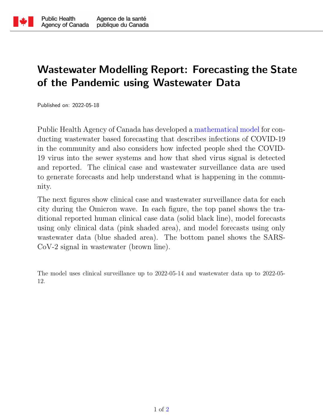

## Wastewater Modelling Report: Forecasting the State of the Pandemic using Wastewater Data

Published on: 2022-05-18

Public Health Agency of Canada has developed a [mathematical model](https://www.sciencedirect.com/science/article/pii/S1755436522000172) for conducting wastewater based forecasting that describes infections of COVID-19 in the community and also considers how infected people shed the COVID-19 virus into the sewer systems and how that shed virus signal is detected and reported. The clinical case and wastewater surveillance data are used to generate forecasts and help understand what is happening in the community.

The next figures show clinical case and wastewater surveillance data for each city during the Omicron wave. In each figure, the top panel shows the traditional reported human clinical case data (solid black line), model forecasts using only clinical data (pink shaded area), and model forecasts using only wastewater data (blue shaded area). The bottom panel shows the SARS-CoV-2 signal in wastewater (brown line).

The model uses clinical surveillance up to 2022-05-14 and wastewater data up to 2022-05- 12.